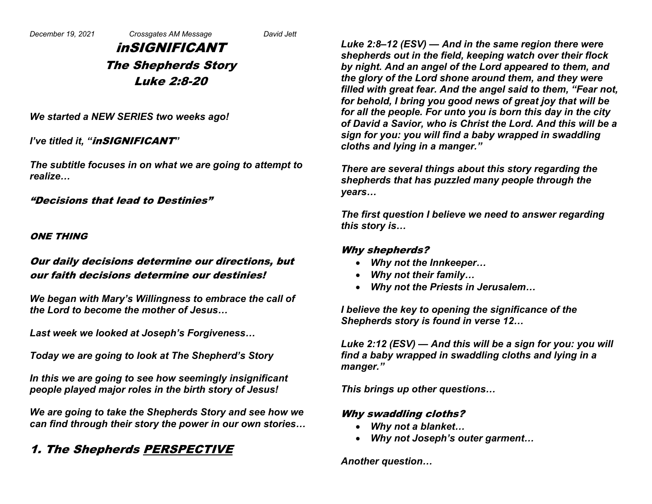inSIGNIFICANT The Shepherds Story Luke 2:8-20

*We started a NEW SERIES two weeks ago!*

*I've titled it, "*inSIGNIFICANT*"*

*The subtitle focuses in on what we are going to attempt to realize…*

"Decisions that lead to Destinies"

#### ONE THING

## Our daily decisions determine our directions, but our faith decisions determine our destinies!

*We began with Mary's Willingness to embrace the call of the Lord to become the mother of Jesus…*

*Last week we looked at Joseph's Forgiveness…*

*Today we are going to look at The Shepherd's Story*

*In this we are going to see how seemingly insignificant people played major roles in the birth story of Jesus!*

*We are going to take the Shepherds Story and see how we can find through their story the power in our own stories…*

# 1. The Shepherds PERSPECTIVE

*Luke 2:8–12 (ESV) — And in the same region there were shepherds out in the field, keeping watch over their flock by night. And an angel of the Lord appeared to them, and the glory of the Lord shone around them, and they were filled with great fear. And the angel said to them, "Fear not, for behold, I bring you good news of great joy that will be for all the people. For unto you is born this day in the city of David a Savior, who is Christ the Lord. And this will be a sign for you: you will find a baby wrapped in swaddling cloths and lying in a manger."* 

*There are several things about this story regarding the shepherds that has puzzled many people through the years…*

*The first question I believe we need to answer regarding this story is…*

#### Why shepherds?

- *Why not the Innkeeper…*
- *Why not their family…*
- *Why not the Priests in Jerusalem…*

*I believe the key to opening the significance of the Shepherds story is found in verse 12…*

*Luke 2:12 (ESV) — And this will be a sign for you: you will find a baby wrapped in swaddling cloths and lying in a manger."*

*This brings up other questions…*

### Why swaddling cloths?

- *Why not a blanket…*
- *Why not Joseph's outer garment…*

*Another question…*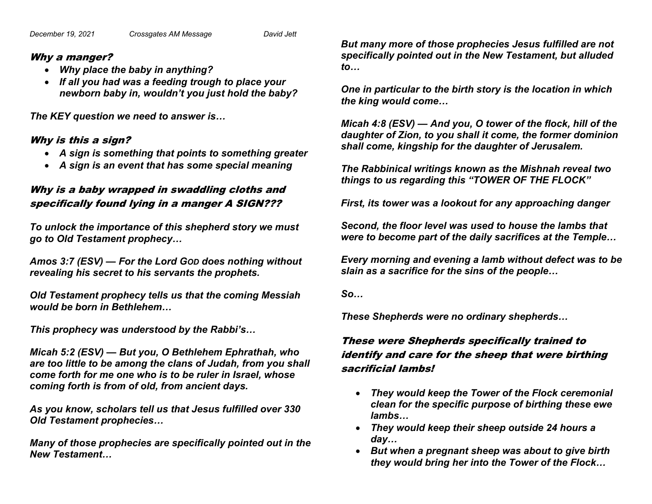### Why a manger?

- *Why place the baby in anything?*
- *If all you had was a feeding trough to place your newborn baby in, wouldn't you just hold the baby?*

*The KEY question we need to answer is…*

### Why is this a sign?

- *A sign is something that points to something greater*
- *A sign is an event that has some special meaning*

# Why is a baby wrapped in swaddling cloths and specifically found lying in a manger A SIGN???

*To unlock the importance of this shepherd story we must go to Old Testament prophecy…*

*Amos 3:7 (ESV) — For the Lord GOD does nothing without revealing his secret to his servants the prophets.*

*Old Testament prophecy tells us that the coming Messiah would be born in Bethlehem…*

*This prophecy was understood by the Rabbi's…*

*Micah 5:2 (ESV) — But you, O Bethlehem Ephrathah, who are too little to be among the clans of Judah, from you shall come forth for me one who is to be ruler in Israel, whose coming forth is from of old, from ancient days.*

*As you know, scholars tell us that Jesus fulfilled over 330 Old Testament prophecies…*

*Many of those prophecies are specifically pointed out in the New Testament…*

*But many more of those prophecies Jesus fulfilled are not specifically pointed out in the New Testament, but alluded to…*

*One in particular to the birth story is the location in which the king would come…*

*Micah 4:8 (ESV) — And you, O tower of the flock, hill of the daughter of Zion, to you shall it come, the former dominion shall come, kingship for the daughter of Jerusalem.*

*The Rabbinical writings known as the Mishnah reveal two things to us regarding this "TOWER OF THE FLOCK"*

*First, its tower was a lookout for any approaching danger*

*Second, the floor level was used to house the lambs that were to become part of the daily sacrifices at the Temple…*

*Every morning and evening a lamb without defect was to be slain as a sacrifice for the sins of the people…*

*So…*

*These Shepherds were no ordinary shepherds…*

## These were Shepherds specifically trained to identify and care for the sheep that were birthing sacrificial lambs!

- *They would keep the Tower of the Flock ceremonial clean for the specific purpose of birthing these ewe lambs…*
- *They would keep their sheep outside 24 hours a day…*
- *But when a pregnant sheep was about to give birth they would bring her into the Tower of the Flock…*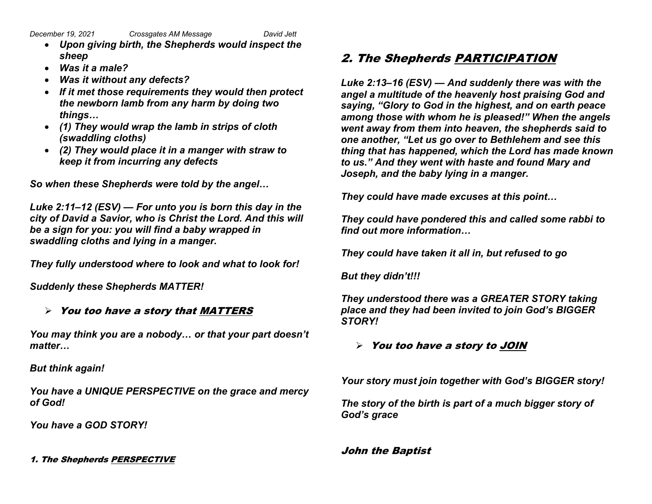- *Upon giving birth, the Shepherds would inspect the sheep*
- *Was it a male?*
- *Was it without any defects?*
- *If it met those requirements they would then protect the newborn lamb from any harm by doing two things…*
- *(1) They would wrap the lamb in strips of cloth (swaddling cloths)*
- *(2) They would place it in a manger with straw to keep it from incurring any defects*

*So when these Shepherds were told by the angel…*

*Luke 2:11–12 (ESV) — For unto you is born this day in the city of David a Savior, who is Christ the Lord. And this will be a sign for you: you will find a baby wrapped in swaddling cloths and lying in a manger.*

*They fully understood where to look and what to look for!*

*Suddenly these Shepherds MATTER!*

### $\triangleright$  You too have a story that MATTERS

*You may think you are a nobody… or that your part doesn't matter…*

*But think again!*

*You have a UNIQUE PERSPECTIVE on the grace and mercy of God!*

*You have a GOD STORY!*

1. The Shepherds PERSPECTIVE

# 2. The Shepherds PARTICIPATION

*Luke 2:13–16 (ESV) — And suddenly there was with the angel a multitude of the heavenly host praising God and saying, "Glory to God in the highest, and on earth peace among those with whom he is pleased!" When the angels went away from them into heaven, the shepherds said to one another, "Let us go over to Bethlehem and see this thing that has happened, which the Lord has made known to us." And they went with haste and found Mary and Joseph, and the baby lying in a manger.* 

*They could have made excuses at this point…*

*They could have pondered this and called some rabbi to find out more information…*

*They could have taken it all in, but refused to go*

*But they didn't!!!*

*They understood there was a GREATER STORY taking place and they had been invited to join God's BIGGER STORY!*

 $\triangleright$  You too have a story to JOIN

*Your story must join together with God's BIGGER story!*

*The story of the birth is part of a much bigger story of God's grace*

John the Baptist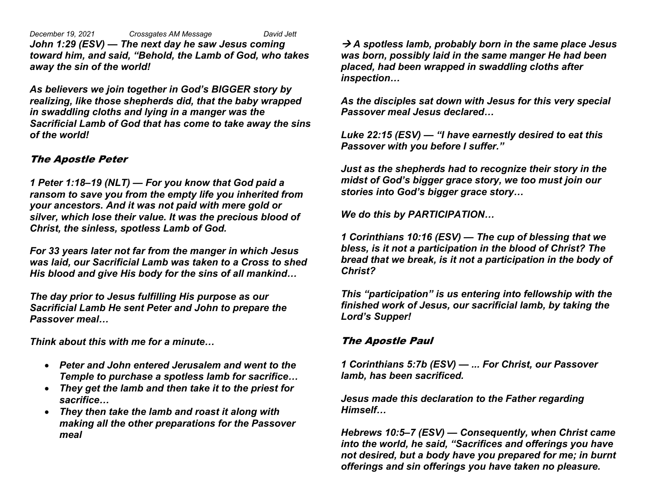*December 19, 2021 Crossgates AM Message David Jett John 1:29 (ESV) — The next day he saw Jesus coming toward him, and said, "Behold, the Lamb of God, who takes away the sin of the world!*

*As believers we join together in God's BIGGER story by realizing, like those shepherds did, that the baby wrapped in swaddling cloths and lying in a manger was the Sacrificial Lamb of God that has come to take away the sins of the world!*

### The Apostle Peter

*1 Peter 1:18–19 (NLT) — For you know that God paid a ransom to save you from the empty life you inherited from your ancestors. And it was not paid with mere gold or silver, which lose their value. It was the precious blood of Christ, the sinless, spotless Lamb of God.*

*For 33 years later not far from the manger in which Jesus was laid, our Sacrificial Lamb was taken to a Cross to shed His blood and give His body for the sins of all mankind…*

*The day prior to Jesus fulfilling His purpose as our Sacrificial Lamb He sent Peter and John to prepare the Passover meal…*

*Think about this with me for a minute…*

- *Peter and John entered Jerusalem and went to the Temple to purchase a spotless lamb for sacrifice…*
- *They get the lamb and then take it to the priest for sacrifice…*
- *They then take the lamb and roast it along with making all the other preparations for the Passover meal*

à *A spotless lamb, probably born in the same place Jesus was born, possibly laid in the same manger He had been placed, had been wrapped in swaddling cloths after inspection…*

*As the disciples sat down with Jesus for this very special Passover meal Jesus declared…*

*Luke 22:15 (ESV) — "I have earnestly desired to eat this Passover with you before I suffer."*

*Just as the shepherds had to recognize their story in the midst of God's bigger grace story, we too must join our stories into God's bigger grace story…*

*We do this by PARTICIPATION…*

*1 Corinthians 10:16 (ESV) — The cup of blessing that we bless, is it not a participation in the blood of Christ? The bread that we break, is it not a participation in the body of Christ?*

*This "participation" is us entering into fellowship with the finished work of Jesus, our sacrificial lamb, by taking the Lord's Supper!*

### The Apostle Paul

*1 Corinthians 5:7b (ESV) — ... For Christ, our Passover lamb, has been sacrificed.*

*Jesus made this declaration to the Father regarding Himself…*

*Hebrews 10:5–7 (ESV) — Consequently, when Christ came into the world, he said, "Sacrifices and offerings you have not desired, but a body have you prepared for me; in burnt offerings and sin offerings you have taken no pleasure.*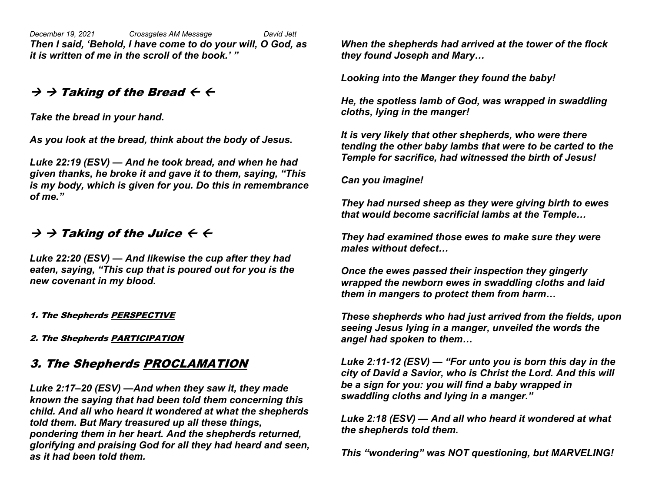*December 19, 2021 Crossgates AM Message David Jett Then I said, 'Behold, I have come to do your will, O God, as it is written of me in the scroll of the book.' "*

# $\rightarrow$   $\rightarrow$  Taking of the Bread  $\leftarrow$   $\leftarrow$

*Take the bread in your hand.*

*As you look at the bread, think about the body of Jesus.*

*Luke 22:19 (ESV) — And he took bread, and when he had given thanks, he broke it and gave it to them, saying, "This is my body, which is given for you. Do this in remembrance of me."* 

# $\rightarrow$   $\rightarrow$  Taking of the Juice  $\leftarrow$   $\leftarrow$

*Luke 22:20 (ESV) — And likewise the cup after they had eaten, saying, "This cup that is poured out for you is the new covenant in my blood.*

- 1. The Shepherds PERSPECTIVE
- 2. The Shepherds PARTICIPATION

# 3. The Shepherds PROCLAMATION

*Luke 2:17–20 (ESV) —And when they saw it, they made known the saying that had been told them concerning this child. And all who heard it wondered at what the shepherds told them. But Mary treasured up all these things, pondering them in her heart. And the shepherds returned, glorifying and praising God for all they had heard and seen, as it had been told them.*

*When the shepherds had arrived at the tower of the flock they found Joseph and Mary…*

*Looking into the Manger they found the baby!*

*He, the spotless lamb of God, was wrapped in swaddling cloths, lying in the manger!*

*It is very likely that other shepherds, who were there tending the other baby lambs that were to be carted to the Temple for sacrifice, had witnessed the birth of Jesus!*

*Can you imagine!*

*They had nursed sheep as they were giving birth to ewes that would become sacrificial lambs at the Temple…*

*They had examined those ewes to make sure they were males without defect…*

*Once the ewes passed their inspection they gingerly wrapped the newborn ewes in swaddling cloths and laid them in mangers to protect them from harm…*

*These shepherds who had just arrived from the fields, upon seeing Jesus lying in a manger, unveiled the words the angel had spoken to them…*

*Luke 2:11-12 (ESV) — "For unto you is born this day in the city of David a Savior, who is Christ the Lord. And this will be a sign for you: you will find a baby wrapped in swaddling cloths and lying in a manger."*

*Luke 2:18 (ESV) — And all who heard it wondered at what the shepherds told them.*

*This "wondering" was NOT questioning, but MARVELING!*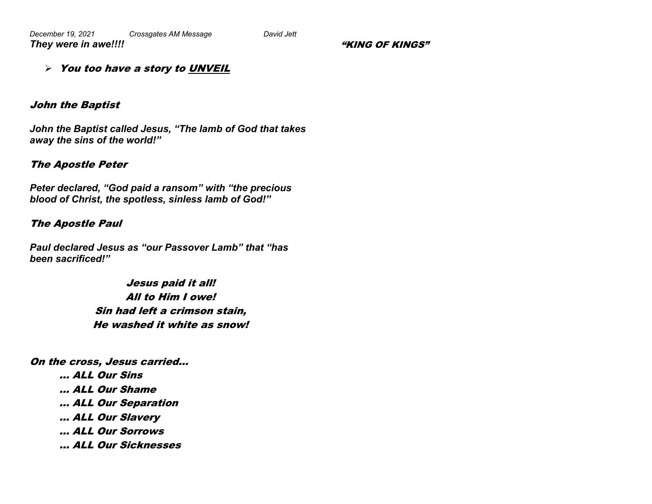"KING OF KINGS"

### $\triangleright$  You too have a story to UNVEIL

#### John the Baptist

*John the Baptist called Jesus, "The lamb of God that takes away the sins of the world!"*

#### The Apostle Peter

*Peter declared, "God paid a ransom" with "the precious blood of Christ, the spotless, sinless lamb of God!"*

#### The Apostle Paul

*Paul declared Jesus as "our Passover Lamb" that "has been sacrificed!"*

> Jesus paid it all! All to Him I owe! Sin had left a crimson stain, He washed it white as snow!

On the cross, Jesus carried… … ALL Our Sins … ALL Our Shame … ALL Our Separation … ALL Our Slavery … ALL Our Sorrows … ALL Our Sicknesses